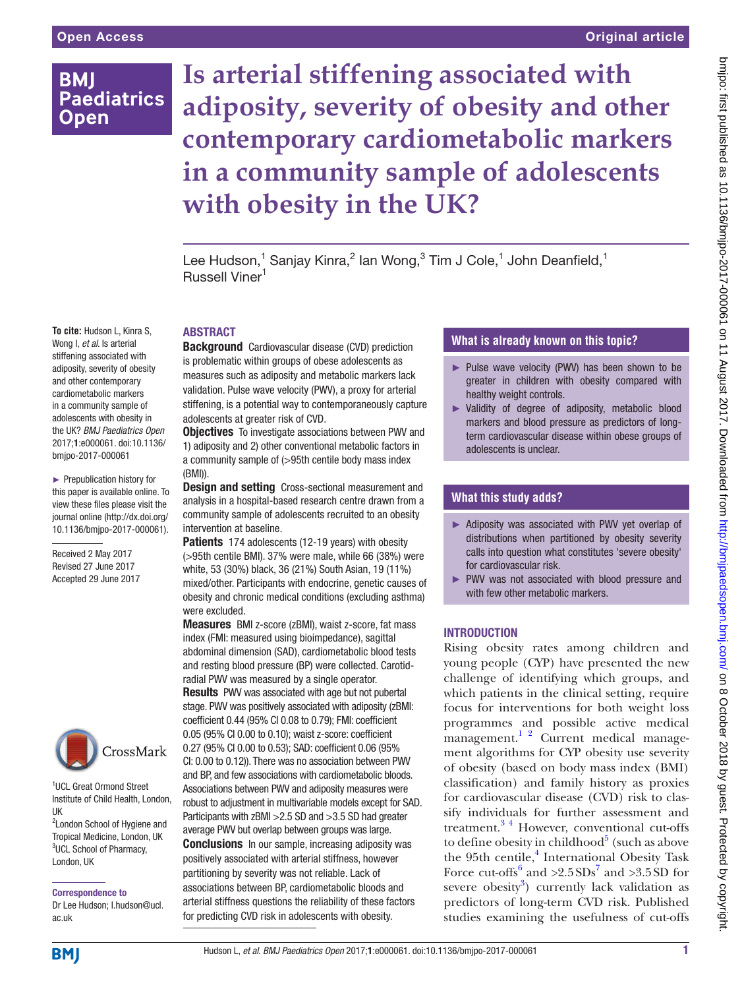## Original article

# **BMJ Paediatrics Open**

**To cite:** Hudson L, Kinra S, Wong I, *et al*. Is arterial stiffening associated with adiposity, severity of obesity and other contemporary cardiometabolic markers in a community sample of adolescents with obesity in the UK? *BMJ Paediatrics Open* 2017;1:e000061. doi:10.1136/ bmjpo-2017-000061

► Prepublication history for this paper is available online. To view these files please visit the journal online ([http://dx.doi.org/](http://dx.doi.org/10.1136/bmjpo-2017-000061) [10.1136/bmjpo-2017-000061\)](http://dx.doi.org/10.1136/bmjpo-2017-000061).

Received 2 May 2017 Revised 27 June 2017 Accepted 29 June 2017

1 UCL Great Ormond Street Institute of Child Health, London,

<sup>2</sup> London School of Hygiene and Tropical Medicine, London, UK <sup>3</sup>UCL School of Pharmacy,

CrossMark

**Is arterial stiffening associated with adiposity, severity of obesity and other contemporary cardiometabolic markers in a community sample of adolescents with obesity in the UK?**

Lee Hudson,<sup>1</sup> Sanjay Kinra,<sup>2</sup> lan Wong,<sup>3</sup> Tim J Cole,<sup>1</sup> John Deanfield,<sup>1</sup> Russell Viner<sup>1</sup>

#### **ABSTRACT**

Background Cardiovascular disease (CVD) prediction is problematic within groups of obese adolescents as measures such as adiposity and metabolic markers lack validation. Pulse wave velocity (PWV), a proxy for arterial stiffening, is a potential way to contemporaneously capture adolescents at greater risk of CVD.

**Objectives** To investigate associations between PWV and 1) adiposity and 2) other conventional metabolic factors in a community sample of (>95th centile body mass index (BMI)).

**Design and setting** Cross-sectional measurement and analysis in a hospital-based research centre drawn from a community sample of adolescents recruited to an obesity intervention at baseline.

Patients 174 adolescents (12-19 years) with obesity (>95th centile BMI). 37% were male, while 66 (38%) were white, 53 (30%) black, 36 (21%) South Asian, 19 (11%) mixed/other. Participants with endocrine, genetic causes of obesity and chronic medical conditions (excluding asthma) were excluded.

Measures BMI z-score (zBMI), waist z-score, fat mass index (FMI: measured using bioimpedance), sagittal abdominal dimension (SAD), cardiometabolic blood tests and resting blood pressure (BP) were collected. Carotidradial PWV was measured by a single operator. Results PWV was associated with age but not pubertal stage. PWV was positively associated with adiposity (zBMI: coefficient 0.44 (95% CI 0.08 to 0.79); FMI: coefficient 0.05 (95% CI 0.00 to 0.10); waist z-score: coefficient 0.27 (95% CI 0.00 to 0.53); SAD: coefficient 0.06 (95% CI: 0.00 to 0.12)). There was no association between PWV and BP, and few associations with cardiometabolic bloods. Associations between PWV and adiposity measures were robust to adjustment in multivariable models except for SAD. Participants with zBMI >2.5 SD and >3.5 SD had greater average PWV but overlap between groups was large. **Conclusions** In our sample, increasing adiposity was positively associated with arterial stiffness, however partitioning by severity was not reliable. Lack of associations between BP, cardiometabolic bloods and arterial stiffness questions the reliability of these factors for predicting CVD risk in adolescents with obesity.

# **What is already known on this topic?**

- ► Pulse wave velocity (PWV) has been shown to be greater in children with obesity compared with healthy weight controls.
- ► Validity of degree of adiposity, metabolic blood markers and blood pressure as predictors of longterm cardiovascular disease within obese groups of adolescents is unclear.

## **What this study adds?**

- ► Adiposity was associated with PWV yet overlap of distributions when partitioned by obesity severity calls into question what constitutes 'severe obesity' for cardiovascular risk.
- ► PWV was not associated with blood pressure and with few other metabolic markers.

#### **INTRODUCTION**

Rising obesity rates among children and young people (CYP) have presented the new challenge of identifying which groups, and which patients in the clinical setting, require focus for interventions for both weight loss programmes and possible active medical  $m$ anagement.<sup>12</sup> Current medical management algorithms for CYP obesity use severity of obesity (based on body mass index (BMI) classification) and family history as proxies for cardiovascular disease (CVD) risk to classify individuals for further assessment and treatment.<sup>34</sup> However, conventional cut-offs to define obesity in childhood $5$  (such as above the 95th centile,<sup>4</sup> International Obesity Task Force cut-offs<sup>[6](#page-7-4)</sup> and  $>2.5 SDS^7$  $>2.5 SDS^7$  and  $>3.5 SDS$  for severe obesity<sup>[3](#page-7-1)</sup>) currently lack validation as predictors of long-term CVD risk. Published studies examining the usefulness of cut-offs

# **BMJ**

ac.uk

UK

London, UK

Correspondence to Dr Lee Hudson; l.hudson@ucl.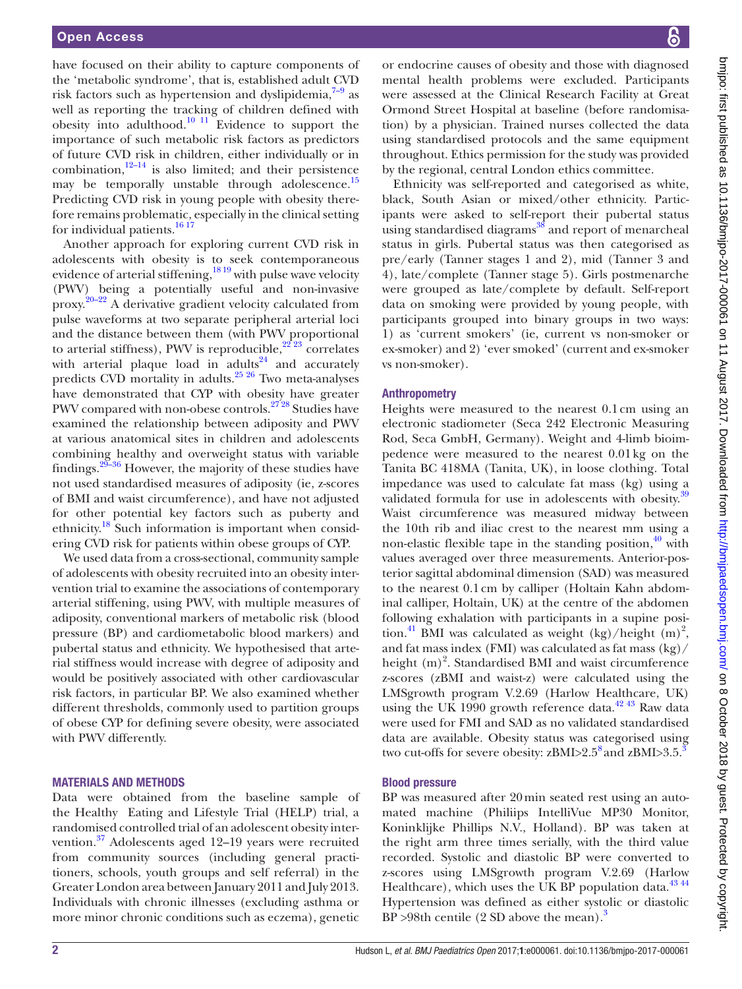have focused on their ability to capture components of the 'metabolic syndrome', that is, established adult CVD risk factors such as hypertension and dyslipidemia,<sup>7-9</sup> as well as reporting the tracking of children defined with obesity into adulthood.<sup>10 11</sup> Evidence to support the importance of such metabolic risk factors as predictors of future CVD risk in children, either individually or in combination, $12-14$  is also limited; and their persistence may be temporally unstable through adolescence. $^{15}$ Predicting CVD risk in young people with obesity therefore remains problematic, especially in the clinical setting for individual patients.<sup>[16 17](#page-7-9)</sup>

Another approach for exploring current CVD risk in adolescents with obesity is to seek contemporaneous evidence of arterial stiffening,  $1819$  with pulse wave velocity (PWV) being a potentially useful and non-invasive proxy. $20-22$  A derivative gradient velocity calculated from pulse waveforms at two separate peripheral arterial loci and the distance between them (with PWV proportional to arterial stiffness), PWV is reproducible, $22^{223}$  correlates with arterial plaque load in  $\tilde{a}$  adults<sup>24</sup> and accurately predicts CVD mortality in adults.[25 26](#page-7-14) Two meta-analyses have demonstrated that CYP with obesity have greater PWV compared with non-obese controls.<sup>2728</sup> Studies have examined the relationship between adiposity and PWV at various anatomical sites in children and adolescents combining healthy and overweight status with variable findings.<sup>[29–36](#page-7-16)</sup> However, the majority of these studies have not used standardised measures of adiposity (ie, z-scores of BMI and waist circumference), and have not adjusted for other potential key factors such as puberty and ethnicity.<sup>18</sup> Such information is important when considering CVD risk for patients within obese groups of CYP.

We used data from a cross-sectional, community sample of adolescents with obesity recruited into an obesity intervention trial to examine the associations of contemporary arterial stiffening, using PWV, with multiple measures of adiposity, conventional markers of metabolic risk (blood pressure (BP) and cardiometabolic blood markers) and pubertal status and ethnicity. We hypothesised that arterial stiffness would increase with degree of adiposity and would be positively associated with other cardiovascular risk factors, in particular BP. We also examined whether different thresholds, commonly used to partition groups of obese CYP for defining severe obesity, were associated with PWV differently.

#### Materials and methods

Data were obtained from the baseline sample of the Healthy Eating and Lifestyle Trial (HELP) trial, a randomised controlled trial of an adolescent obesity intervention.<sup>37</sup> Adolescents aged 12-19 years were recruited from community sources (including general practitioners, schools, youth groups and self referral) in the Greater London area between January 2011 and July 2013. Individuals with chronic illnesses (excluding asthma or more minor chronic conditions such as eczema), genetic

or endocrine causes of obesity and those with diagnosed mental health problems were excluded. Participants were assessed at the Clinical Research Facility at Great Ormond Street Hospital at baseline (before randomisation) by a physician. Trained nurses collected the data using standardised protocols and the same equipment throughout. Ethics permission for the study was provided by the regional, central London ethics committee.

Ethnicity was self-reported and categorised as white, black, South Asian or mixed/other ethnicity. Participants were asked to self-report their pubertal status using standardised diagrams<sup>38</sup> and report of menarcheal status in girls. Pubertal status was then categorised as pre/early (Tanner stages 1 and 2), mid (Tanner 3 and 4), late/complete (Tanner stage 5). Girls postmenarche were grouped as late/complete by default. Self-report data on smoking were provided by young people, with participants grouped into binary groups in two ways: 1) as 'current smokers' (ie, current vs non-smoker or ex-smoker) and 2) 'ever smoked' (current and ex-smoker vs non-smoker).

#### Anthropometry

Heights were measured to the nearest 0.1cm using an electronic stadiometer (Seca 242 Electronic Measuring Rod, Seca GmbH, Germany). Weight and 4-limb bioimpedence were measured to the nearest 0.01kg on the Tanita BC 418MA (Tanita, UK), in loose clothing. Total impedance was used to calculate fat mass (kg) using a validated formula for use in adolescents with obesity.<sup>39</sup> Waist circumference was measured midway between the 10th rib and iliac crest to the nearest mm using a non-elastic flexible tape in the standing position, $40$  with values averaged over three measurements. Anterior-posterior sagittal abdominal dimension (SAD) was measured to the nearest 0.1cm by calliper (Holtain Kahn abdominal calliper, Holtain, UK) at the centre of the abdomen following exhalation with participants in a supine position.<sup>41</sup> BMI was calculated as weight (kg)/height  $(m)^2$ , and fat mass index (FMI) was calculated as fat mass (kg)/ height (m)<sup>2</sup>. Standardised BMI and waist circumference z-scores (zBMI and waist-z) were calculated using the LMSgrowth program V.2.69 (Harlow Healthcare, UK) using the UK 1990 growth reference data.<sup>42 43</sup> Raw data were used for FMI and SAD as no validated standardised data are available. Obesity status was categorised using two cut-offs for severe obesity:  $zBMI>2.5^8$  and  $zBMI>3.5^3$  $zBMI>3.5^3$  $zBMI>3.5^3$ 

#### Blood pressure

BP was measured after 20min seated rest using an automated machine (Philiips IntelliVue MP30 Monitor, Koninklijke Phillips N.V., Holland). BP was taken at the right arm three times serially, with the third value recorded. Systolic and diastolic BP were converted to z-scores using LMSgrowth program V.2.69 (Harlow Healthcare), which uses the UK BP population data.<sup>43 44</sup> Hypertension was defined as either systolic or diastolic BP >98th centile (2 SD above the mean).<sup>3</sup>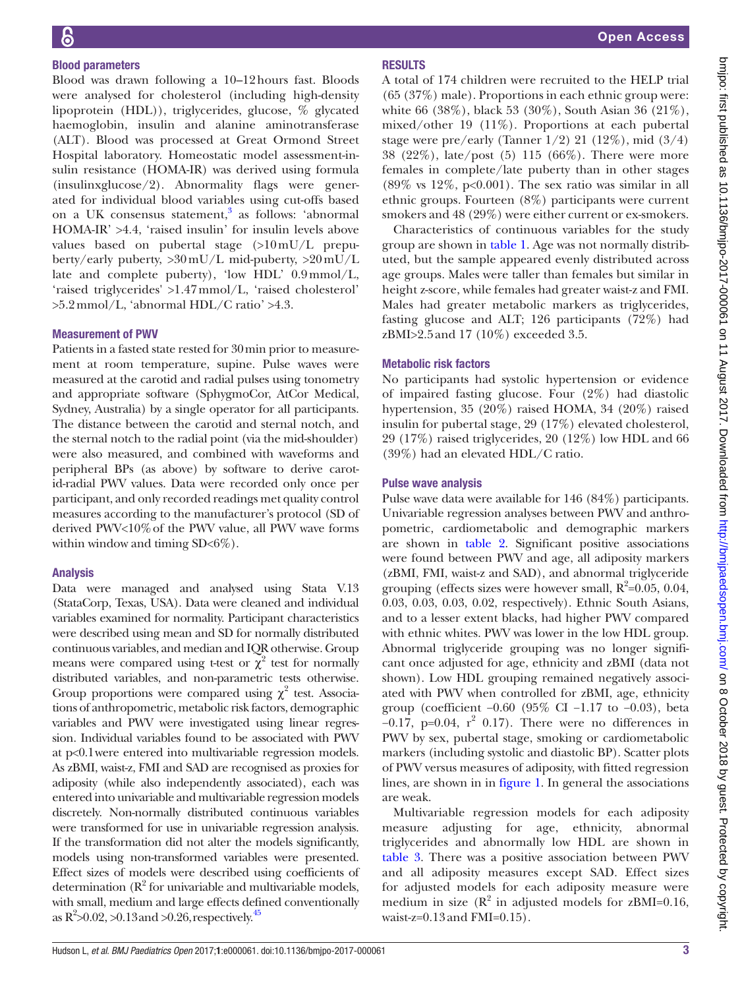#### Blood parameters

Blood was drawn following a 10–12hours fast. Bloods were analysed for cholesterol (including high-density lipoprotein (HDL)), triglycerides, glucose, % glycated haemoglobin, insulin and alanine aminotransferase (ALT). Blood was processed at Great Ormond Street Hospital laboratory. Homeostatic model assessment-insulin resistance (HOMA-IR) was derived using formula (insulinxglucose/2). Abnormality flags were generated for individual blood variables using cut-offs based on a UK consensus statement,<sup>[3](#page-7-1)</sup> as follows: 'abnormal HOMA-IR' >4.4, 'raised insulin' for insulin levels above values based on pubertal stage (>10mU/L prepuberty/early puberty, >30mU/L mid-puberty, >20mU/L late and complete puberty), 'low HDL' 0.9mmol/L, 'raised triglycerides' >1.47mmol/L, 'raised cholesterol' >5.2mmol/L, 'abnormal HDL/C ratio' >4.3.

#### Measurement of PWV

Patients in a fasted state rested for 30min prior to measurement at room temperature, supine. Pulse waves were measured at the carotid and radial pulses using tonometry and appropriate software (SphygmoCor, AtCor Medical, Sydney, Australia) by a single operator for all participants. The distance between the carotid and sternal notch, and the sternal notch to the radial point (via the mid-shoulder) were also measured, and combined with waveforms and peripheral BPs (as above) by software to derive carotid-radial PWV values. Data were recorded only once per participant, and only recorded readings met quality control measures according to the manufacturer's protocol (SD of derived PWV<10%of the PWV value, all PWV wave forms within window and timing  $SD < 6\%$ ).

#### Analysis

Data were managed and analysed using Stata V.13 (StataCorp, Texas, USA). Data were cleaned and individual variables examined for normality. Participant characteristics were described using mean and SD for normally distributed continuous variables, and median and IQR otherwise. Group means were compared using t-test or  $\chi^2$  test for normally distributed variables, and non-parametric tests otherwise. Group proportions were compared using  $\chi^2$  test. Associations of anthropometric, metabolic risk factors, demographic variables and PWV were investigated using linear regression. Individual variables found to be associated with PWV at p<0.1were entered into multivariable regression models. As zBMI, waist-z, FMI and SAD are recognised as proxies for adiposity (while also independently associated), each was entered into univariable and multivariable regression models discretely. Non-normally distributed continuous variables were transformed for use in univariable regression analysis. If the transformation did not alter the models significantly, models using non-transformed variables were presented. Effect sizes of models were described using coefficients of determination  $(R^2$  for univariable and multivariable models, with small, medium and large effects defined conventionally as  $R^2 > 0.02$ ,  $> 0.13$  and  $> 0.26$ , respectively.<sup>45</sup>

A total of 174 children were recruited to the HELP trial (65 (37%) male). Proportions in each ethnic group were: white 66 (38%), black 53 (30%), South Asian 36 (21%), mixed/other 19 (11%). Proportions at each pubertal stage were pre/early (Tanner  $1/2$ ) 21 (12%), mid (3/4) 38 (22%), late/post (5) 115 (66%). There were more females in complete/late puberty than in other stages  $(89\% \text{ vs } 12\%, \text{ p<0.001}).$  The sex ratio was similar in all ethnic groups. Fourteen (8%) participants were current smokers and 48 (29%) were either current or ex-smokers.

Characteristics of continuous variables for the study group are shown in [table](#page-3-0) 1. Age was not normally distributed, but the sample appeared evenly distributed across age groups. Males were taller than females but similar in height z-score, while females had greater waist-z and FMI. Males had greater metabolic markers as triglycerides, fasting glucose and ALT; 126 participants (72%) had zBMI>2.5and 17 (10%) exceeded 3.5.

#### Metabolic risk factors

No participants had systolic hypertension or evidence of impaired fasting glucose. Four (2%) had diastolic hypertension, 35 (20%) raised HOMA, 34 (20%) raised insulin for pubertal stage, 29 (17%) elevated cholesterol, 29 (17%) raised triglycerides, 20 (12%) low HDL and 66 (39%) had an elevated HDL/C ratio.

#### Pulse wave analysis

Pulse wave data were available for 146 (84%) participants. Univariable regression analyses between PWV and anthropometric, cardiometabolic and demographic markers are shown in [table](#page-4-0) 2. Significant positive associations were found between PWV and age, all adiposity markers (zBMI, FMI, waist-z and SAD), and abnormal triglyceride grouping (effects sizes were however small,  $R^2$ =0.05, 0.04, 0.03, 0.03, 0.03, 0.02, respectively). Ethnic South Asians, and to a lesser extent blacks, had higher PWV compared with ethnic whites. PWV was lower in the low HDL group. Abnormal triglyceride grouping was no longer significant once adjusted for age, ethnicity and zBMI (data not shown). Low HDL grouping remained negatively associated with PWV when controlled for zBMI, age, ethnicity group (coefficient −0.60 (95% CI −1.17 to −0.03), beta  $-0.17$ , p=0.04, r<sup>2</sup> 0.17). There were no differences in PWV by sex, pubertal stage, smoking or cardiometabolic markers (including systolic and diastolic BP). Scatter plots of PWV versus measures of adiposity, with fitted regression lines, are shown in in [figure](#page-5-0) 1. In general the associations are weak.

Multivariable regression models for each adiposity measure adjusting for age, ethnicity, abnormal triglycerides and abnormally low HDL are shown in [table](#page-5-1) 3. There was a positive association between PWV and all adiposity measures except SAD. Effect sizes for adjusted models for each adiposity measure were medium in size  $(R^2$  in adjusted models for zBMI=0.16, waist-z=0.13and FMI=0.15).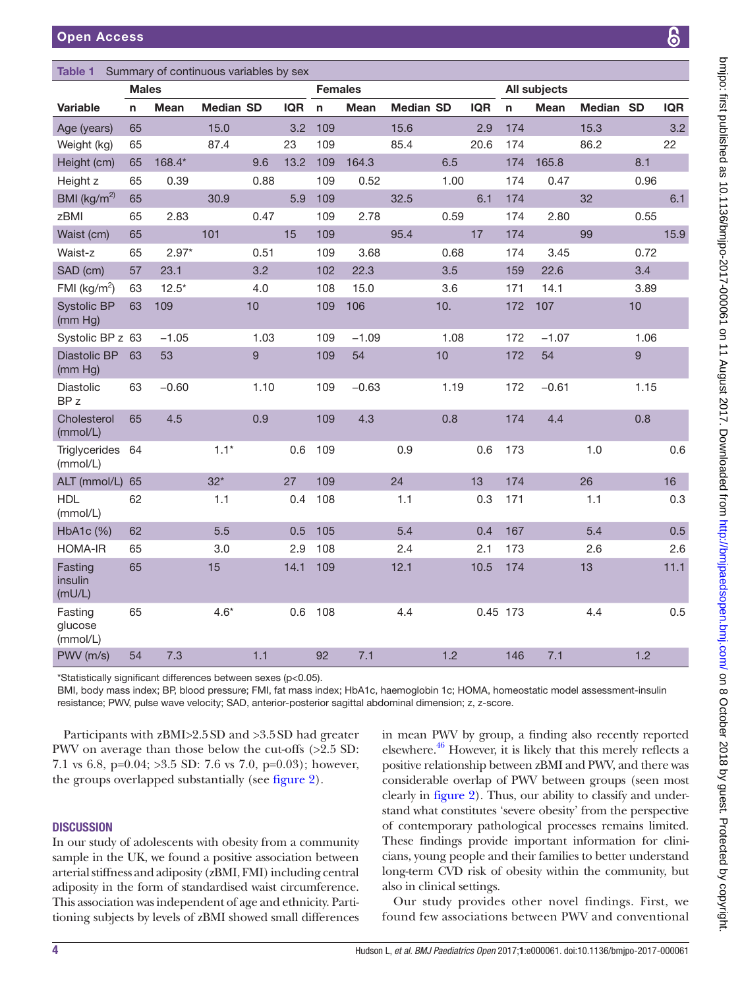<span id="page-3-0"></span>

| Table 1 Summary of continuous variables by sex |              |         |                  |      |            |                |             |                  |      |            |                     |             |           |             |            |
|------------------------------------------------|--------------|---------|------------------|------|------------|----------------|-------------|------------------|------|------------|---------------------|-------------|-----------|-------------|------------|
|                                                | <b>Males</b> |         |                  |      |            | <b>Females</b> |             |                  |      |            | <b>All subjects</b> |             |           |             |            |
| <b>Variable</b>                                | $\mathbf n$  | Mean    | <b>Median SD</b> |      | <b>IQR</b> | $\mathbf n$    | <b>Mean</b> | <b>Median SD</b> |      | <b>IQR</b> | n                   | <b>Mean</b> | Median SD |             | <b>IQR</b> |
| Age (years)                                    | 65           |         | 15.0             |      | 3.2        | 109            |             | 15.6             |      | 2.9        | 174                 |             | 15.3      |             | 3.2        |
| Weight (kg)                                    | 65           |         | 87.4             |      | 23         | 109            |             | 85.4             |      | 20.6       | 174                 |             | 86.2      |             | 22         |
| Height (cm)                                    | 65           | 168.4*  |                  | 9.6  | 13.2       | 109            | 164.3       |                  | 6.5  |            | 174                 | 165.8       |           | 8.1         |            |
| Height z                                       | 65           | 0.39    |                  | 0.88 |            | 109            | 0.52        |                  | 1.00 |            | 174                 | 0.47        |           | 0.96        |            |
| BMI $(kg/m^2)$                                 | 65           |         | 30.9             |      | 5.9        | 109            |             | 32.5             |      | 6.1        | 174                 |             | 32        |             | 6.1        |
| zBMI                                           | 65           | 2.83    |                  | 0.47 |            | 109            | 2.78        |                  | 0.59 |            | 174                 | 2.80        |           | 0.55        |            |
| Waist (cm)                                     | 65           |         | 101              |      | 15         | 109            |             | 95.4             |      | 17         | 174                 |             | 99        |             | 15.9       |
| Waist-z                                        | 65           | $2.97*$ |                  | 0.51 |            | 109            | 3.68        |                  | 0.68 |            | 174                 | 3.45        |           | 0.72        |            |
| SAD (cm)                                       | 57           | 23.1    |                  | 3.2  |            | 102            | 22.3        |                  | 3.5  |            | 159                 | 22.6        |           | 3.4         |            |
| FMI ( $\text{kg/m}^2$ )                        | 63           | $12.5*$ |                  | 4.0  |            | 108            | 15.0        |                  | 3.6  |            | 171                 | 14.1        |           | 3.89        |            |
| <b>Systolic BP</b><br>(mm Hg)                  | 63           | 109     |                  | 10   |            | 109            | 106         |                  | 10.  |            | 172                 | 107         |           | 10          |            |
| Systolic BP z 63                               |              | $-1.05$ |                  | 1.03 |            | 109            | $-1.09$     |                  | 1.08 |            | 172                 | $-1.07$     |           | 1.06        |            |
| Diastolic BP<br>(mm Hg)                        | 63           | 53      |                  | 9    |            | 109            | 54          |                  | 10   |            | 172                 | 54          |           | $\mathsf g$ |            |
| Diastolic<br>BP <sub>z</sub>                   | 63           | $-0.60$ |                  | 1.10 |            | 109            | $-0.63$     |                  | 1.19 |            | 172                 | $-0.61$     |           | 1.15        |            |
| Cholesterol<br>(mmol/L)                        | 65           | 4.5     |                  | 0.9  |            | 109            | 4.3         |                  | 0.8  |            | 174                 | 4.4         |           | 0.8         |            |
| Triglycerides 64<br>(mmol/L)                   |              |         | $1.1*$           |      | 0.6        | 109            |             | 0.9              |      | 0.6        | 173                 |             | 1.0       |             | 0.6        |
| ALT (mmol/L) 65                                |              |         | $32*$            |      | 27         | 109            |             | 24               |      | 13         | 174                 |             | 26        |             | 16         |
| <b>HDL</b><br>(mmol/L)                         | 62           |         | 1.1              |      | 0.4        | 108            |             | 1.1              |      | 0.3        | 171                 |             | 1.1       |             | 0.3        |
| HbA1c (%)                                      | 62           |         | 5.5              |      | 0.5        | 105            |             | 5.4              |      | 0.4        | 167                 |             | 5.4       |             | 0.5        |
| HOMA-IR                                        | 65           |         | 3.0              |      | 2.9        | 108            |             | 2.4              |      | 2.1        | 173                 |             | 2.6       |             | 2.6        |
| Fasting<br>insulin<br>(mU/L)                   | 65           |         | 15               |      | 14.1       | 109            |             | 12.1             |      | 10.5       | 174                 |             | 13        |             | 11.1       |
| Fasting<br>glucose<br>(mmol/L)                 | 65           |         | $4.6*$           |      | 0.6        | 108            |             | 4.4              |      | 0.45 173   |                     |             | 4.4       |             | 0.5        |
| PWV (m/s)                                      | 54           | 7.3     |                  | 1.1  |            | 92             | 7.1         |                  | 1.2  |            | 146                 | 7.1         |           | 1.2         |            |

\*Statistically significant differences between sexes (p<0.05).

BMI, body mass index; BP, blood pressure; FMI, fat mass index; HbA1c, haemoglobin 1c; HOMA, homeostatic model assessment-insulin resistance; PWV, pulse wave velocity; SAD, anterior-posterior sagittal abdominal dimension; z, z-score.

Participants with zBMI>2.5SD and >3.5SD had greater PWV on average than those below the cut-offs (>2.5 SD: 7.1 vs 6.8, p=0.04; >3.5 SD: 7.6 vs 7.0, p=0.03); however, the groups overlapped substantially (see [figure](#page-6-0) 2).

# **DISCUSSION**

In our study of adolescents with obesity from a community sample in the UK, we found a positive association between arterial stiffness and adiposity (zBMI, FMI) including central adiposity in the form of standardised waist circumference. This association was independent of age and ethnicity. Partitioning subjects by levels of zBMI showed small differences

in mean PWV by group, a finding also recently reported elsewhere.<sup>46</sup> However, it is likely that this merely reflects a positive relationship between zBMI and PWV, and there was considerable overlap of PWV between groups (seen most clearly in [figure](#page-6-0) 2). Thus, our ability to classify and understand what constitutes 'severe obesity' from the perspective of contemporary pathological processes remains limited. These findings provide important information for clinicians, young people and their families to better understand long-term CVD risk of obesity within the community, but also in clinical settings.

Our study provides other novel findings. First, we found few associations between PWV and conventional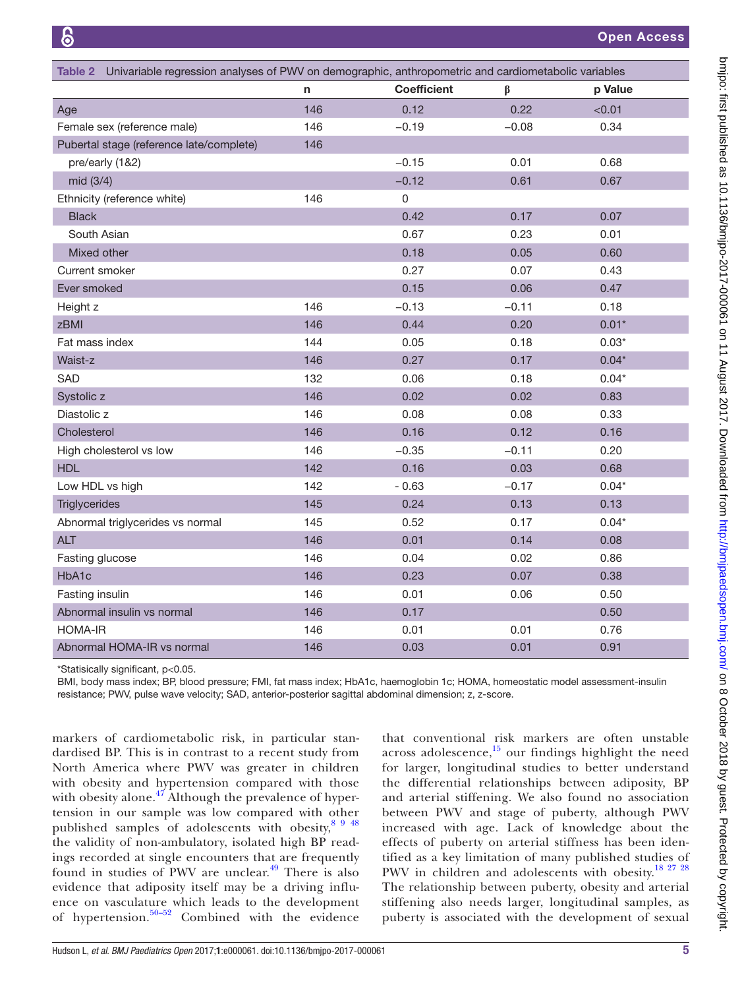<span id="page-4-0"></span>

| Table 2 Univariable regression analyses of PWV on demographic, anthropometric and cardiometabolic variables |     |                    |         |         |  |  |  |  |
|-------------------------------------------------------------------------------------------------------------|-----|--------------------|---------|---------|--|--|--|--|
|                                                                                                             | n   | <b>Coefficient</b> | β       | p Value |  |  |  |  |
| Age                                                                                                         | 146 | 0.12               | 0.22    | < 0.01  |  |  |  |  |
| Female sex (reference male)                                                                                 | 146 | $-0.19$            | $-0.08$ | 0.34    |  |  |  |  |
| Pubertal stage (reference late/complete)                                                                    | 146 |                    |         |         |  |  |  |  |
| pre/early (1&2)                                                                                             |     | $-0.15$            | 0.01    | 0.68    |  |  |  |  |
| mid (3/4)                                                                                                   |     | $-0.12$            | 0.61    | 0.67    |  |  |  |  |
| Ethnicity (reference white)                                                                                 | 146 | 0                  |         |         |  |  |  |  |
| <b>Black</b>                                                                                                |     | 0.42               | 0.17    | 0.07    |  |  |  |  |
| South Asian                                                                                                 |     | 0.67               | 0.23    | 0.01    |  |  |  |  |
| Mixed other                                                                                                 |     | 0.18               | 0.05    | 0.60    |  |  |  |  |
| Current smoker                                                                                              |     | 0.27               | 0.07    | 0.43    |  |  |  |  |
| Ever smoked                                                                                                 |     | 0.15               | 0.06    | 0.47    |  |  |  |  |
| Height z                                                                                                    | 146 | $-0.13$            | $-0.11$ | 0.18    |  |  |  |  |
| zBMI                                                                                                        | 146 | 0.44               | 0.20    | $0.01*$ |  |  |  |  |
| Fat mass index                                                                                              | 144 | 0.05               | 0.18    | $0.03*$ |  |  |  |  |
| Waist-z                                                                                                     | 146 | 0.27               | 0.17    | $0.04*$ |  |  |  |  |
| <b>SAD</b>                                                                                                  | 132 | 0.06               | 0.18    | $0.04*$ |  |  |  |  |
| Systolic z                                                                                                  | 146 | 0.02               | 0.02    | 0.83    |  |  |  |  |
| Diastolic z                                                                                                 | 146 | 0.08               | 0.08    | 0.33    |  |  |  |  |
| Cholesterol                                                                                                 | 146 | 0.16               | 0.12    | 0.16    |  |  |  |  |
| High cholesterol vs low                                                                                     | 146 | $-0.35$            | $-0.11$ | 0.20    |  |  |  |  |
| <b>HDL</b>                                                                                                  | 142 | 0.16               | 0.03    | 0.68    |  |  |  |  |
| Low HDL vs high                                                                                             | 142 | $-0.63$            | $-0.17$ | $0.04*$ |  |  |  |  |
| <b>Triglycerides</b>                                                                                        | 145 | 0.24               | 0.13    | 0.13    |  |  |  |  |
| Abnormal triglycerides vs normal                                                                            | 145 | 0.52               | 0.17    | $0.04*$ |  |  |  |  |
| <b>ALT</b>                                                                                                  | 146 | 0.01               | 0.14    | 0.08    |  |  |  |  |
| Fasting glucose                                                                                             | 146 | 0.04               | 0.02    | 0.86    |  |  |  |  |
| HbA1c                                                                                                       | 146 | 0.23               | 0.07    | 0.38    |  |  |  |  |
| Fasting insulin                                                                                             | 146 | 0.01               | 0.06    | 0.50    |  |  |  |  |
| Abnormal insulin vs normal                                                                                  | 146 | 0.17               |         | 0.50    |  |  |  |  |
| HOMA-IR                                                                                                     | 146 | 0.01               | 0.01    | 0.76    |  |  |  |  |
| Abnormal HOMA-IR vs normal                                                                                  | 146 | 0.03               | 0.01    | 0.91    |  |  |  |  |

\*Statisically significant, p<0.05.

BMI, body mass index; BP, blood pressure; FMI, fat mass index; HbA1c, haemoglobin 1c; HOMA, homeostatic model assessment-insulin resistance; PWV, pulse wave velocity; SAD, anterior-posterior sagittal abdominal dimension; z, z-score.

markers of cardiometabolic risk, in particular standardised BP. This is in contrast to a recent study from North America where PWV was greater in children with obesity and hypertension compared with those with obesity alone. $47$  Although the prevalence of hypertension in our sample was low compared with other published samples of adolescents with obesity,<sup>[8 9 48](#page-7-23)</sup> the validity of non-ambulatory, isolated high BP readings recorded at single encounters that are frequently found in studies of PWV are unclear.<sup>49</sup> There is also evidence that adiposity itself may be a driving influence on vasculature which leads to the development of hypertension.[50–52](#page-8-0) Combined with the evidence

that conventional risk markers are often unstable across adolescence, $15$  our findings highlight the need for larger, longitudinal studies to better understand the differential relationships between adiposity, BP and arterial stiffening. We also found no association between PWV and stage of puberty, although PWV increased with age. Lack of knowledge about the effects of puberty on arterial stiffness has been identified as a key limitation of many published studies of PWV in children and adolescents with obesity.<sup>[18 27 28](#page-7-10)</sup> The relationship between puberty, obesity and arterial stiffening also needs larger, longitudinal samples, as puberty is associated with the development of sexual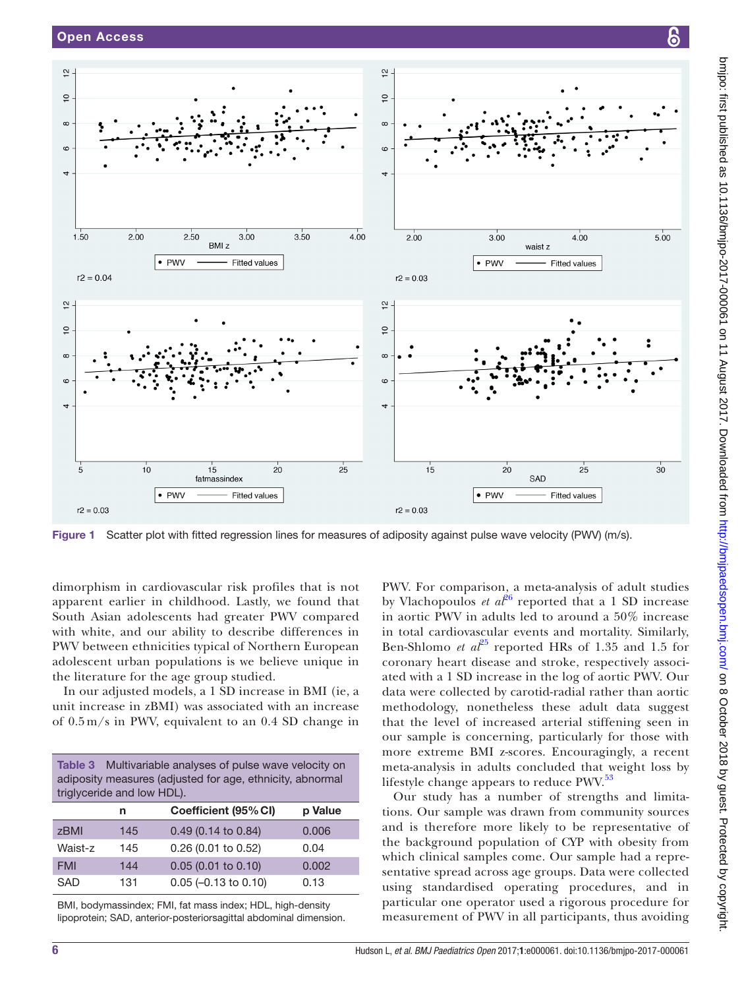

<span id="page-5-0"></span>Figure 1 Scatter plot with fitted regression lines for measures of adiposity against pulse wave velocity (PWV) (m/s).

dimorphism in cardiovascular risk profiles that is not apparent earlier in childhood. Lastly, we found that South Asian adolescents had greater PWV compared with white, and our ability to describe differences in PWV between ethnicities typical of Northern European adolescent urban populations is we believe unique in the literature for the age group studied.

In our adjusted models, a 1 SD increase in BMI (ie, a unit increase in zBMI) was associated with an increase of 0.5 m/s in PWV, equivalent to an 0.4 SD change in

<span id="page-5-1"></span>

| <b>Table 3</b> Multivariable analyses of pulse wave velocity on<br>adiposity measures (adjusted for age, ethnicity, abnormal<br>triglyceride and low HDL). |     |                        |         |  |  |  |  |
|------------------------------------------------------------------------------------------------------------------------------------------------------------|-----|------------------------|---------|--|--|--|--|
|                                                                                                                                                            | n   | Coefficient (95% CI)   | p Value |  |  |  |  |
| zBMI                                                                                                                                                       | 145 | $0.49$ (0.14 to 0.84)  | 0.006   |  |  |  |  |
| Waist-z                                                                                                                                                    | 145 | 0.26 (0.01 to 0.52)    | 0.04    |  |  |  |  |
| <b>FMI</b>                                                                                                                                                 | 144 | $0.05$ (0.01 to 0.10)  | 0.002   |  |  |  |  |
| SAD                                                                                                                                                        | 131 | $0.05$ (-0.13 to 0.10) | 0.13    |  |  |  |  |

BMI, bodymassindex; FMI, fat mass index; HDL, high-density lipoprotein; SAD, anterior-posteriorsagittal abdominal dimension.

PWV. For comparison, a meta-analysis of adult studies by Vlachopoulos *et a* $l^{26}$  reported that a 1 SD increase in aortic PWV in adults led to around a 50% increase in total cardiovascular events and mortality. Similarly, Ben-Shlomo *et al*<sup>[25](#page-7-14)</sup> reported HRs of 1.35 and 1.5 for coronary heart disease and stroke, respectively associated with a 1 SD increase in the log of aortic PWV. Our data were collected by carotid-radial rather than aortic methodology, nonetheless these adult data suggest that the level of increased arterial stiffening seen in our sample is concerning, particularly for those with more extreme BMI z-scores. Encouragingly, a recent meta-analysis in adults concluded that weight loss by lifestyle change appears to reduce PWV.<sup>[53](#page-8-1)</sup>

Our study has a number of strengths and limitations. Our sample was drawn from community sources and is therefore more likely to be representative of the background population of CYP with obesity from which clinical samples come. Our sample had a representative spread across age groups. Data were collected using standardised operating procedures, and in particular one operator used a rigorous procedure for measurement of PWV in all participants, thus avoiding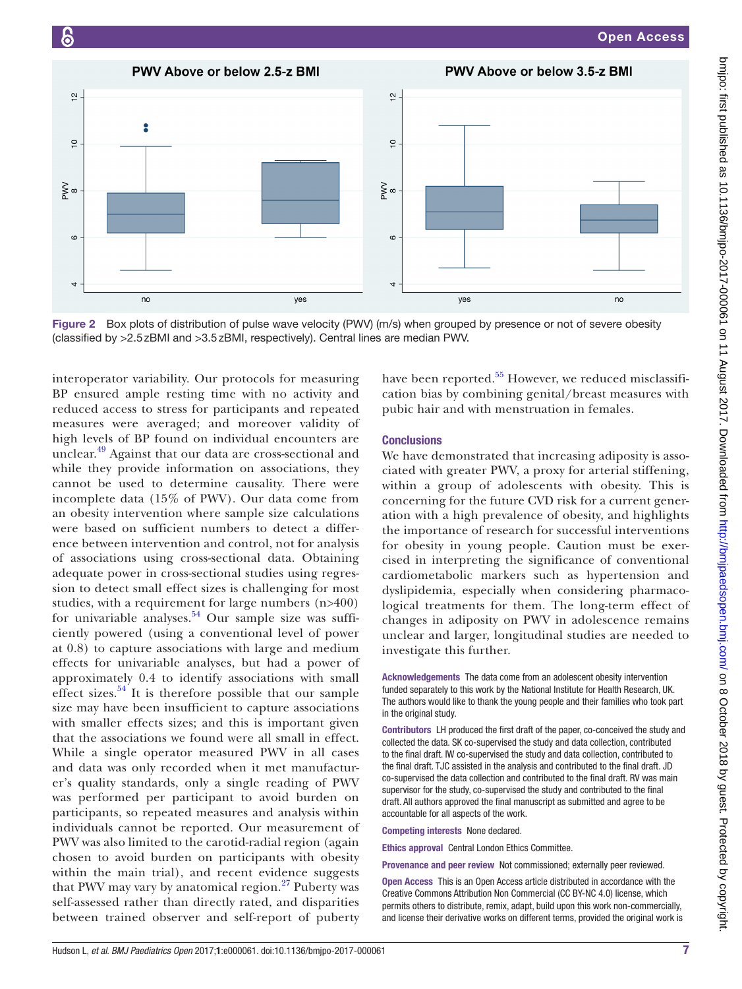

<span id="page-6-0"></span>Figure 2 Box plots of distribution of pulse wave velocity (PWV) (m/s) when grouped by presence or not of severe obesity (classified by >2.5zBMI and >3.5zBMI, respectively). Central lines are median PWV.

interoperator variability. Our protocols for measuring BP ensured ample resting time with no activity and reduced access to stress for participants and repeated measures were averaged; and moreover validity of high levels of BP found on individual encounters are unclear.[49](#page-7-28) Against that our data are cross-sectional and while they provide information on associations, they cannot be used to determine causality. There were incomplete data (15% of PWV). Our data come from an obesity intervention where sample size calculations were based on sufficient numbers to detect a difference between intervention and control, not for analysis of associations using cross-sectional data. Obtaining adequate power in cross-sectional studies using regression to detect small effect sizes is challenging for most studies, with a requirement for large numbers (n>400) for univariable analyses. $54$  Our sample size was sufficiently powered (using a conventional level of power at 0.8) to capture associations with large and medium effects for univariable analyses, but had a power of approximately 0.4 to identify associations with small effect sizes. $54$  It is therefore possible that our sample size may have been insufficient to capture associations with smaller effects sizes; and this is important given that the associations we found were all small in effect. While a single operator measured PWV in all cases and data was only recorded when it met manufacturer's quality standards, only a single reading of PWV was performed per participant to avoid burden on participants, so repeated measures and analysis within individuals cannot be reported. Our measurement of PWV was also limited to the carotid-radial region (again chosen to avoid burden on participants with obesity within the main trial), and recent evidence suggests that PWV may vary by anatomical region.<sup>[27](#page-7-15)</sup> Puberty was self-assessed rather than directly rated, and disparities between trained observer and self-report of puberty

have been reported.<sup>55</sup> However, we reduced misclassification bias by combining genital/breast measures with pubic hair and with menstruation in females.

#### **Conclusions**

We have demonstrated that increasing adiposity is associated with greater PWV, a proxy for arterial stiffening, within a group of adolescents with obesity. This is concerning for the future CVD risk for a current generation with a high prevalence of obesity, and highlights the importance of research for successful interventions for obesity in young people. Caution must be exercised in interpreting the significance of conventional cardiometabolic markers such as hypertension and dyslipidemia, especially when considering pharmacological treatments for them. The long-term effect of changes in adiposity on PWV in adolescence remains unclear and larger, longitudinal studies are needed to investigate this further.

Acknowledgements The data come from an adolescent obesity intervention funded separately to this work by the National Institute for Health Research, UK. The authors would like to thank the young people and their families who took part in the original study.

Contributors LH produced the first draft of the paper, co-conceived the study and collected the data. SK co-supervised the study and data collection, contributed to the final draft. IW co-supervised the study and data collection, contributed to the final draft. TJC assisted in the analysis and contributed to the final draft. JD co-supervised the data collection and contributed to the final draft. RV was main supervisor for the study, co-supervised the study and contributed to the final draft. All authors approved the final manuscript as submitted and agree to be accountable for all aspects of the work.

Competing interests None declared.

Ethics approval Central London Ethics Committee.

Provenance and peer review Not commissioned; externally peer reviewed.

Open Access This is an Open Access article distributed in accordance with the Creative Commons Attribution Non Commercial (CC BY-NC 4.0) license, which permits others to distribute, remix, adapt, build upon this work non-commercially, and license their derivative works on different terms, provided the original work is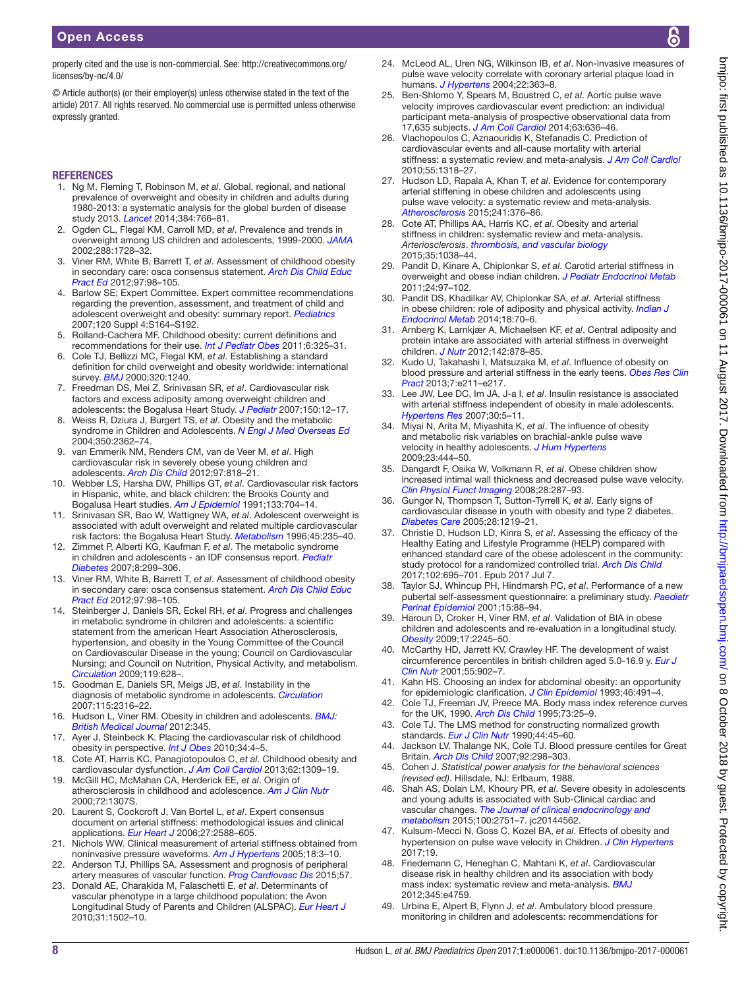© Article author(s) (or their employer(s) unless otherwise stated in the text of the article) 2017. All rights reserved. No commercial use is permitted unless otherwise expressly granted.

## **REFERENCES**

- <span id="page-7-0"></span>1. Ng M, Fleming T, Robinson M, *et al*. Global, regional, and national prevalence of overweight and obesity in children and adults during 1980-2013: a systematic analysis for the global burden of disease study 2013. *[Lancet](http://dx.doi.org/10.1016/S0140-6736(14)60460-8)* 2014;384:766–81.
- 2. Ogden CL, Flegal KM, Carroll MD, *et al*. Prevalence and trends in overweight among US children and adolescents, 1999-2000. *[JAMA](http://dx.doi.org/10.1001/jama.288.14.1728)* 2002;288:1728–32.
- <span id="page-7-1"></span>3. Viner RM, White B, Barrett T, *et al*. Assessment of childhood obesity in secondary care: osca consensus statement. *[Arch Dis Child Educ](http://dx.doi.org/10.1136/edpract-2011-301426)  [Pract Ed](http://dx.doi.org/10.1136/edpract-2011-301426)* 2012;97:98–105.
- <span id="page-7-3"></span>4. Barlow SE; Expert Committee. Expert committee recommendations regarding the prevention, assessment, and treatment of child and adolescent overweight and obesity: summary report. *[Pediatrics](http://dx.doi.org/10.1542/peds.2007-2329C)* 2007;120 Suppl 4:S164–S192.
- <span id="page-7-2"></span>5. Rolland-Cachera MF. Childhood obesity: current definitions and recommendations for their use. *[Int J Pediatr Obes](http://dx.doi.org/10.3109/17477166.2011.607458)* 2011;6:325–31.
- <span id="page-7-4"></span>6. Cole TJ, Bellizzi MC, Flegal KM, *et al*. Establishing a standard definition for child overweight and obesity worldwide: international survey. *[BMJ](http://dx.doi.org/10.1136/bmj.320.7244.1240)* 2000;320:1240.
- <span id="page-7-5"></span>7. Freedman DS, Mei Z, Srinivasan SR, *et al*. Cardiovascular risk factors and excess adiposity among overweight children and adolescents: the Bogalusa Heart Study. *[J Pediatr](http://dx.doi.org/10.1016/j.jpeds.2006.08.042)* 2007;150:12–17.
- <span id="page-7-23"></span>8. Weiss R, Dziura J, Burgert TS, *et al*. Obesity and the metabolic syndrome in Children and Adolescents. *[N Engl J Med Overseas Ed](http://dx.doi.org/10.1056/NEJMoa031049)* 2004;350:2362–74.
- 9. van Emmerik NM, Renders CM, van de Veer M, *et al*. High cardiovascular risk in severely obese young children and adolescents. *[Arch Dis Child](http://dx.doi.org/10.1136/archdischild-2012-301877)* 2012;97:818–21.
- <span id="page-7-6"></span>10. Webber LS, Harsha DW, Phillips GT, *et al*. Cardiovascular risk factors in Hispanic, white, and black children: the Brooks County and Bogalusa Heart studies. *[Am J Epidemiol](http://dx.doi.org/10.1093/oxfordjournals.aje.a115945)* 1991;133:704–14.
- 11. Srinivasan SR, Bao W, Wattigney WA, *et al*. Adolescent overweight is associated with adult overweight and related multiple cardiovascular risk factors: the Bogalusa Heart Study. *[Metabolism](http://dx.doi.org/10.1016/S0026-0495(96)90060-8)* 1996;45:235–40.
- <span id="page-7-7"></span>12. Zimmet P, Alberti KG, Kaufman F, *et al*. The metabolic syndrome in children and adolescents - an IDF consensus report. *[Pediatr](http://dx.doi.org/10.1111/j.1399-5448.2007.00271.x)  [Diabetes](http://dx.doi.org/10.1111/j.1399-5448.2007.00271.x)* 2007;8:299–306.
- 13. Viner RM, White B, Barrett T, *et al*. Assessment of childhood obesity in secondary care: osca consensus statement. *[Arch Dis Child Educ](http://dx.doi.org/10.1136/edpract-2011-301426)  [Pract Ed](http://dx.doi.org/10.1136/edpract-2011-301426)* 2012;97:98–105.
- 14. Steinberger J, Daniels SR, Eckel RH, *et al*. Progress and challenges in metabolic syndrome in children and adolescents: a scientific statement from the american Heart Association Atherosclerosis, hypertension, and obesity in the Young Committee of the Council on Cardiovascular Disease in the young; Council on Cardiovascular Nursing; and Council on Nutrition, Physical Activity, and metabolism. *[Circulation](http://dx.doi.org/10.1161/CIRCULATIONAHA.108.191394)* 2009;119:628–.
- <span id="page-7-8"></span>15. Goodman E, Daniels SR, Meigs JB, *et al*. Instability in the diagnosis of metabolic syndrome in adolescents. *[Circulation](http://dx.doi.org/10.1161/CIRCULATIONAHA.106.669994)* 2007;115:2316–22.
- <span id="page-7-9"></span>16. Hudson L, Viner RM. Obesity in children and adolescents. *BMJ: British Medical Journal* 2012:345.
- 17. Ayer J, Steinbeck K. Placing the cardiovascular risk of childhood obesity in perspective. *[Int J Obes](http://dx.doi.org/10.1038/ijo.2009.183)* 2010;34:4–5.
- <span id="page-7-10"></span>18. Cote AT, Harris KC, Panagiotopoulos C, *et al*. Childhood obesity and cardiovascular dysfunction. *[J Am Coll Cardiol](http://dx.doi.org/10.1016/j.jacc.2013.07.042)* 2013;62:1309–19.
- 19. McGill HC, McMahan CA, Herderick EE, *et al*. Origin of atherosclerosis in childhood and adolescence. *Am J Clin Nutr* 2000;72:1307S.
- <span id="page-7-11"></span>20. Laurent S, Cockcroft J, Van Bortel L, *et al*. Expert consensus document on arterial stiffness: methodological issues and clinical applications. *[Eur Heart J](http://dx.doi.org/10.1093/eurheartj/ehl254)* 2006;27:2588–605.
- 21. Nichols WW. Clinical measurement of arterial stiffness obtained from noninvasive pressure waveforms. *[Am J Hypertens](http://dx.doi.org/10.1016/j.amjhyper.2004.10.009)* 2005;18:3–10.
- <span id="page-7-12"></span>22. Anderson TJ, Phillips SA. Assessment and prognosis of peripheral artery measures of vascular function. *[Prog Cardiovasc Dis](http://dx.doi.org/10.1016/j.pcad.2014.11.005)* 2015;57.
- 23. Donald AE, Charakida M, Falaschetti E, *et al*. Determinants of vascular phenotype in a large childhood population: the Avon Longitudinal Study of Parents and Children (ALSPAC). *[Eur Heart J](http://dx.doi.org/10.1093/eurheartj/ehq062)* 2010;31:1502–10.
- <span id="page-7-13"></span>24. McLeod AL, Uren NG, Wilkinson IB, *et al*. Non-invasive measures of pulse wave velocity correlate with coronary arterial plaque load in humans. *[J Hypertens](http://dx.doi.org/10.1097/00004872-200402000-00021)* 2004;22:363–8.
- <span id="page-7-14"></span>25. Ben-Shlomo Y, Spears M, Boustred C, *et al*. Aortic pulse wave velocity improves cardiovascular event prediction: an individual participant meta-analysis of prospective observational data from 17,635 subjects. *[J Am Coll Cardiol](http://dx.doi.org/10.1016/j.jacc.2013.09.063)* 2014;63:636–46.
- <span id="page-7-29"></span>26. Vlachopoulos C, Aznaouridis K, Stefanadis C. Prediction of cardiovascular events and all-cause mortality with arterial stiffness: a systematic review and meta-analysis. *[J Am Coll Cardiol](http://dx.doi.org/10.1016/j.jacc.2009.10.061)* 2010;55:1318–27.
- <span id="page-7-15"></span>27. Hudson LD, Rapala A, Khan T, *et al*. Evidence for contemporary arterial stiffening in obese children and adolescents using pulse wave velocity: a systematic review and meta-analysis. *[Atherosclerosis](http://dx.doi.org/10.1016/j.atherosclerosis.2015.05.014)* 2015;241:376–86.
- Cote AT, Phillips AA, Harris KC, et al. Obesity and arterial stiffness in children: systematic review and meta-analysis. *Arteriosclerosis*. *thrombosis, and vascular biology* 2015;35:1038–44.
- <span id="page-7-16"></span>29. Pandit D, Kinare A, Chiplonkar S, *et al*. Carotid arterial stiffness in overweight and obese indian children. *[J Pediatr Endocrinol Metab](http://dx.doi.org/10.1515/jpem.2011.086)* 2011;24:97–102.
- 30. Pandit DS, Khadilkar AV, Chiplonkar SA, *et al*. Arterial stiffness in obese children: role of adiposity and physical activity. *[Indian J](http://dx.doi.org/10.4103/2230-8210.126565)  [Endocrinol Metab](http://dx.doi.org/10.4103/2230-8210.126565)* 2014;18:70–6.
- 31. Arnberg K, Larnkjær A, Michaelsen KF, *et al*. Central adiposity and protein intake are associated with arterial stiffness in overweight children. *[J Nutr](http://dx.doi.org/10.3945/jn.111.150672)* 2012;142:878–85.
- 32. Kudo U, Takahashi I, Matsuzaka M, *et al*. Influence of obesity on blood pressure and arterial stiffness in the early teens. *[Obes Res Clin](http://dx.doi.org/10.1016/j.orcp.2011.12.005) [Pract](http://dx.doi.org/10.1016/j.orcp.2011.12.005)* 2013;7:e211–e217.
- 33. Lee JW, Lee DC, Im JA, J-a I, *et al*. Insulin resistance is associated with arterial stiffness independent of obesity in male adolescents. *[Hypertens Res](http://dx.doi.org/10.1291/hypres.30.5)* 2007;30:5–11.
- 34. Miyai N, Arita M, Miyashita K, *et al*. The influence of obesity and metabolic risk variables on brachial-ankle pulse wave velocity in healthy adolescents. *[J Hum Hypertens](http://dx.doi.org/10.1038/jhh.2008.143)* 2009;23:444–50.
- 35. Dangardt F, Osika W, Volkmann R, *et al*. Obese children show increased intimal wall thickness and decreased pulse wave velocity. *[Clin Physiol Funct Imaging](http://dx.doi.org/10.1111/j.1475-097X.2008.00806.x)* 2008;28:287–93.
- 36. Gungor N, Thompson T, Sutton-Tyrrell K, *et al*. Early signs of cardiovascular disease in youth with obesity and type 2 diabetes. *[Diabetes Care](http://dx.doi.org/10.2337/diacare.28.5.1219)* 2005;28:1219–21.
- <span id="page-7-17"></span>37. Christie D, Hudson LD, Kinra S, *et al*. Assessing the efficacy of the Healthy Eating and Lifestyle Programme (HELP) compared with enhanced standard care of the obese adolescent in the community: study protocol for a randomized controlled trial. *Arch Dis Child* 2017;102:695–701. Epub 2017 Jul 7.
- <span id="page-7-18"></span>38. Taylor SJ, Whincup PH, Hindmarsh PC, *et al*. Performance of a new pubertal self-assessment questionnaire: a preliminary study. *[Paediatr](http://dx.doi.org/10.1046/j.1365-3016.2001.00317.x)  [Perinat Epidemiol](http://dx.doi.org/10.1046/j.1365-3016.2001.00317.x)* 2001;15:88–94.
- <span id="page-7-19"></span>39. Haroun D, Croker H, Viner RM, *et al*. Validation of BIA in obese children and adolescents and re-evaluation in a longitudinal study. *[Obesity](http://dx.doi.org/10.1038/oby.2009.98)* 2009;17:2245–50.
- <span id="page-7-20"></span>40. McCarthy HD, Jarrett KV, Crawley HF. The development of waist circumference percentiles in british children aged 5.0-16.9 y. *[Eur J](http://dx.doi.org/10.1038/sj.ejcn.1601240)  [Clin Nutr](http://dx.doi.org/10.1038/sj.ejcn.1601240)* 2001;55:902–7.
- <span id="page-7-21"></span>41. Kahn HS. Choosing an index for abdominal obesity: an opportunity for epidemiologic clarification. *[J Clin Epidemiol](http://dx.doi.org/10.1016/0895-4356(93)90027-X)* 1993;46:491–4.
- <span id="page-7-22"></span>42. Cole TJ, Freeman JV, Preece MA. Body mass index reference curves for the UK, 1990. *[Arch Dis Child](http://dx.doi.org/10.1136/adc.73.1.25)* 1995;73:25–9.
- <span id="page-7-24"></span>43. Cole TJ. The LMS method for constructing normalized growth standards. *Eur J Clin Nutr* 1990;44:45–60.
- 44. Jackson LV, Thalange NK, Cole TJ. Blood pressure centiles for Great Britain. *[Arch Dis Child](http://dx.doi.org/10.1136/adc.2005.081216)* 2007;92:298–303.
- <span id="page-7-25"></span>45. Cohen J. *Statistical power analysis for the behavioral sciences (revised ed)*. Hillsdale, NJ: Erlbaum, 1988.
- <span id="page-7-26"></span>46. Shah AS, Dolan LM, Khoury PR, *et al*. Severe obesity in adolescents and young adults is associated with Sub-Clinical cardiac and vascular changes. *[The Journal of clinical endocrinology and](http://dx.doi.org/10.1210/jc.2014-4562)  [metabolism](http://dx.doi.org/10.1210/jc.2014-4562)* 2015;100:2751–7. jc20144562.
- <span id="page-7-27"></span>47. Kulsum-Mecci N, Goss C, Kozel BA, *et al*. Effects of obesity and hypertension on pulse wave velocity in Children. *[J Clin Hypertens](http://dx.doi.org/10.1111/jch.12892)* 2017;19.
- 48. Friedemann C, Heneghan C, Mahtani K, *et al*. Cardiovascular disease risk in healthy children and its association with body mass index: systematic review and meta-analysis. *[BMJ](http://dx.doi.org/10.1136/bmj.e4759)* 2012;345:e4759.
- <span id="page-7-28"></span>49. Urbina E, Alpert B, Flynn J, *et al*. Ambulatory blood pressure monitoring in children and adolescents: recommendations for